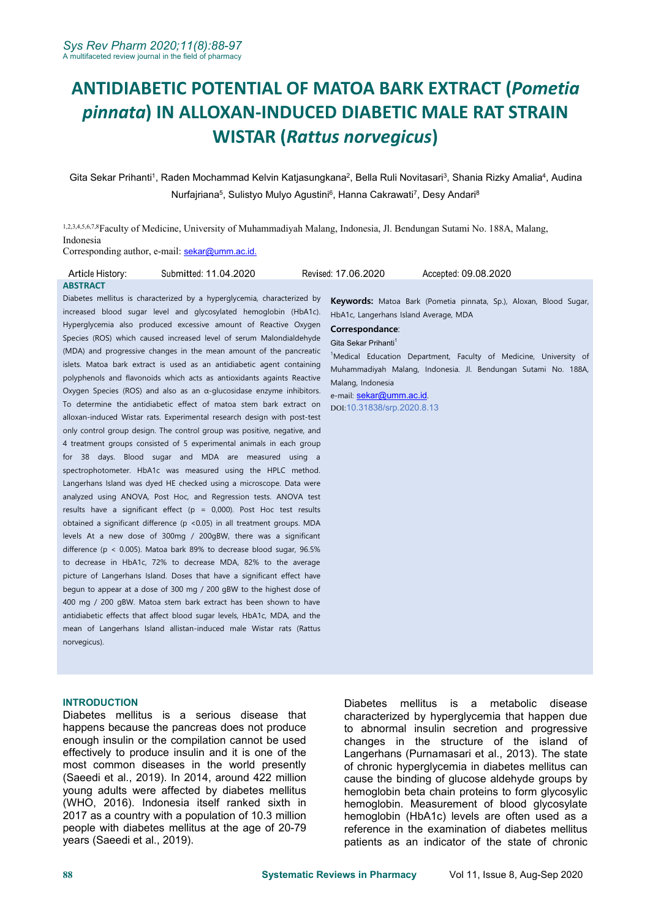## **ANTIDIABETIC POTENTIAL OF MATOA BARK EXTRACT (***Pometia pinnata***) IN ALLOXAN-INDUCED DIABETIC MALE RAT STRAIN WISTAR (***Rattus norvegicus***)**

Gita Sekar Prihanti<sup>1</sup>, Raden Mochammad Kelvin Katjasungkana<sup>2</sup>, Bella Ruli Novitasari<sup>3</sup>, Shania Rizky Amalia<sup>4</sup>, Audina Nurfajriana<sup>5</sup>, Sulistyo Mulyo Agustini<sup>6</sup>, Hanna Cakrawati<sup>7</sup>, Desy Andari<sup>8</sup>

1,2,3,4,5,6,7,8Faculty of Medicine, University of Muhammadiyah Malang, Indonesia, Jl. Bendungan Sutami No. 188A, Malang, Indonesia

Corresponding author, e-mail: [sekar@umm.ac.id](mailto:sekar@umm.ac.id).

| Article History: | Submitted: 11.04.2020                                                   | Revised: 17.06.2020 | Accepted: 09.08.2020                                              |
|------------------|-------------------------------------------------------------------------|---------------------|-------------------------------------------------------------------|
| <b>ABSTRACT</b>  |                                                                         |                     |                                                                   |
|                  | Diabetes mellitus is characterized by a hyperglycemia, characterized by |                     | Keywords: Matoa Bark (Pometia pinnata, Sp.), Aloxan, Blood Sugar, |

increased blood sugar level and glycosylated hemoglobin (HbA1c). Hyperglycemia also produced excessive amount of Reactive Oxygen Species (ROS) which caused increased level of serum Malondialdehyde (MDA) and progressive changes in the mean amount of the pancreatic islets. Matoa bark extract is used as an antidiabetic agent containing polyphenols and flavonoids which acts as antioxidants againts Reactive Oxygen Species (ROS) and also as an α-glucosidase enzyme inhibitors. To determine the antidiabetic effect of matoa stem bark extract on alloxan-induced Wistar rats. Experimental research design with post-test only control group design. The control group was positive, negative, and 4 treatment groups consisted of 5 experimental animals in each group for 38 days. Blood sugar and MDA are measured using a spectrophotometer. HbA1c was measured using the HPLC method. Langerhans Island was dyed HE checked using a microscope. Data were analyzed using ANOVA, Post Hoc, and Regression tests. ANOVA test results have a significant effect ( $p = 0.000$ ). Post Hoc test results obtained a significant difference (p <0.05) in all treatment groups. MDA levels At a new dose of 300mg / 200gBW, there was a significant difference (p < 0.005). Matoa bark 89% to decrease blood sugar, 96.5% to decrease in HbA1c, 72% to decrease MDA, 82% to the average picture of Langerhans Island. Doses that have a significant effect have begun to appear at a dose of 300 mg / 200 gBW to the highest dose of 400 mg / 200 gBW. Matoa stem bark extract has been shown to have antidiabetic effects that affect blood sugar levels, HbA1c, MDA, and the mean of Langerhans Island allistan-induced male Wistar rats (Rattus norvegicus).

# HbA1c, Langerhans Island Average, MDA

## **Correspondance**:

Gita Sekar Prihanti

<sup>1</sup>Medical Education Department, Faculty of Medicine, University of Muhammadiyah Malang, Indonesia. Jl. Bendungan Sutami No. 188A, Malang, Indonesia

e-mail: [sekar@umm.ac.id](mailto:sekar@umm.ac.id). DOI:10.31838/srp.2020.8.13

#### **INTRODUCTION**

Diabetes mellitus is a serious disease that happens because the pancreas does not produce enough insulin or the compilation cannot be used effectively to produce insulin and it is one of the most common diseases in the world presently (Saeedi et al., 2019). In 2014, around 422 million young adults were affected by diabetes mellitus (WHO, 2016). Indonesia itself ranked sixth in 2017 as a country with a population of 10.3 million people with diabetes mellitus at the age of 20-79 years (Saeedi et al., 2019).

Diabetes mellitus is a metabolic disease characterized by hyperglycemia that happen due to abnormal insulin secretion and progressive changes in the structure of the island of Langerhans (Purnamasari et al., 2013). The state of chronic hyperglycemia in diabetes mellitus can cause the binding of glucose aldehyde groups by hemoglobin beta chain proteins to form glycosylic hemoglobin. Measurement of blood glycosylate hemoglobin (HbA1c) levels are often used as a reference in the examination of diabetes mellitus patients as an indicator of the state of chronic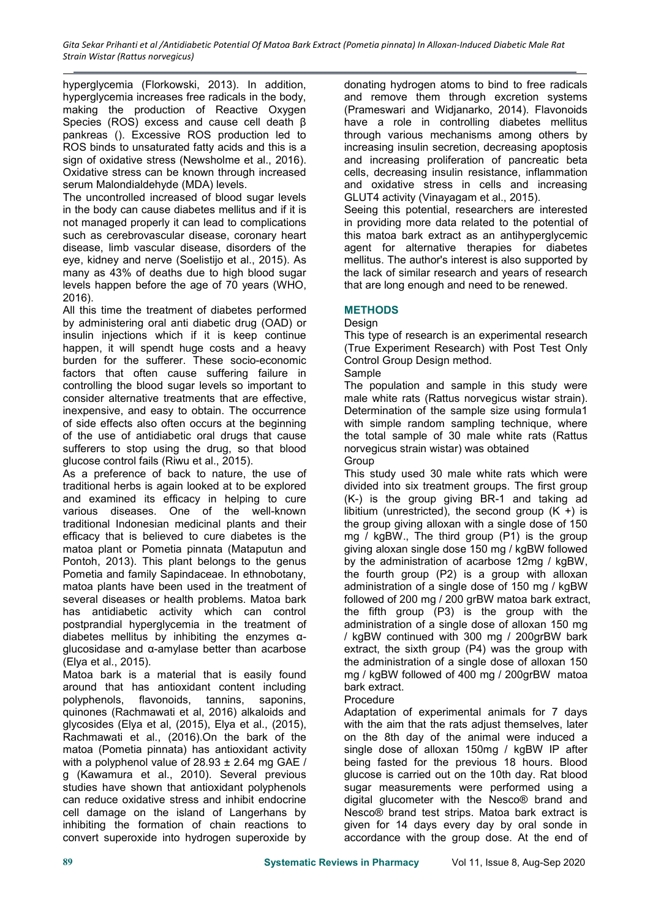hyperglycemia (Florkowski, 2013). In addition, hyperglycemia increases free radicals in the body, making the production of Reactive Oxygen Species (ROS) excess and cause cell death β pankreas (). Excessive ROS production led to ROS binds to unsaturated fatty acids and this is a sign of oxidative stress (Newsholme et al., 2016). Oxidative stress can be known through increased serum Malondialdehyde (MDA) levels.

The uncontrolled increased of blood sugar levels in the body can cause diabetes mellitus and if it is not managed properly it can lead to complications such as cerebrovascular disease, coronary heart disease, limb vascular disease, disorders of the eye, kidney and nerve (Soelistijo et al., 2015). As many as 43% of deaths due to high blood sugar levels happen before the age of 70 years (WHO, 2016).

All this time the treatment of diabetes performed by administering oral anti diabetic drug (OAD) or insulin injections which if it is keep continue happen, it will spendt huge costs and a heavy burden for the sufferer. These socio-economic factors that often cause suffering failure in controlling the blood sugar levels so important to consider alternative treatments that are effective, inexpensive, and easy to obtain. The occurrence of side effects also often occurs at the beginning of the use of antidiabetic oral drugs that cause sufferers to stop using the drug, so that blood glucose control fails (Riwu et al., 2015).

As a preference of back to nature, the use of traditional herbs is again looked at to be explored and examined its efficacy in helping to cure various diseases. One of the well-known traditional Indonesian medicinal plants and their efficacy that is believed to cure diabetes is the matoa plant or Pometia pinnata (Mataputun and Pontoh, 2013). This plant belongs to the genus Pometia and family Sapindaceae. In ethnobotany, matoa plants have been used in the treatment of several diseases or health problems. Matoa bark has antidiabetic activity which can control postprandial hyperglycemia in the treatment of diabetes mellitus by inhibiting the enzymes α glucosidase and α-amylase better than acarbose (Elya et al., 2015).

Matoa bark is a material that is easily found around that has antioxidant content including polyphenols, flavonoids, tannins, saponins, quinones (Rachmawati et al, 2016) alkaloids and glycosides (Elya et al, (2015), Elya et al., (2015), Rachmawati et al., (2016).On the bark of the matoa (Pometia pinnata) has antioxidant activity with a polyphenol value of  $28.93 \pm 2.64$  mg GAE / g (Kawamura et al., 2010). Several previous studies have shown that antioxidant polyphenols can reduce oxidative stress and inhibit endocrine cell damage on the island of Langerhans by inhibiting the formation of chain reactions to convert superoxide into hydrogen superoxide by

donating hydrogen atoms to bind to free radicals and remove them through excretion systems (Prameswari and Widjanarko, 2014). Flavonoids have a role in controlling diabetes mellitus through various mechanisms among others by increasing insulin secretion, decreasing apoptosis and increasing proliferation of pancreatic beta cells, decreasing insulin resistance, inflammation and oxidative stress in cells and increasing GLUT4 activity (Vinayagam et al., 2015).

Seeing this potential, researchers are interested in providing more data related to the potential of this matoa bark extract as an antihyperglycemic agent for alternative therapies for diabetes mellitus. The author's interest is also supported by the lack of similar research and years of research that are long enough and need to be renewed.

## **METHODS**

## **Design**

This type of research is an experimental research (True Experiment Research) with Post Test Only Control Group Design method.

## Sample

The population and sample in this study were male white rats (Rattus norvegicus wistar strain). Determination of the sample size using formula1 with simple random sampling technique, where the total sample of 30 male white rats (Rattus norvegicus strain wistar) was obtained Group

This study used 30 male white rats which were divided into six treatment groups. The first group (K-) is the group giving BR-1 and taking ad libitium (unrestricted), the second group  $(K +)$  is the group giving alloxan with a single dose of 150 mg / kgBW., The third group (P1) is the group giving aloxan single dose 150 mg / kgBW followed by the administration of acarbose 12mg / kgBW, the fourth group (P2) is a group with alloxan administration of a single dose of 150 mg / kgBW followed of 200 mg / 200 grBW matoa bark extract, the fifth group (P3) is the group with the administration of a single dose of alloxan 150 mg / kgBW continued with 300 mg / 200grBW bark extract, the sixth group (P4) was the group with the administration of a single dose of alloxan 150 mg / kgBW followed of 400 mg / 200grBW matoa bark extract.

## Procedure

Adaptation of experimental animals for 7 days with the aim that the rats adjust themselves, later on the 8th day of the animal were induced a single dose of alloxan 150mg / kgBW IP after being fasted for the previous 18 hours. Blood glucose iscarried out on the 10th day. Rat blood sugar measurements were performed using a digital glucometer with the Nesco® brand and Nesco® brand test strips. Matoa bark extract is given for 14 days every day by oral sonde in accordance with the group dose. At the end of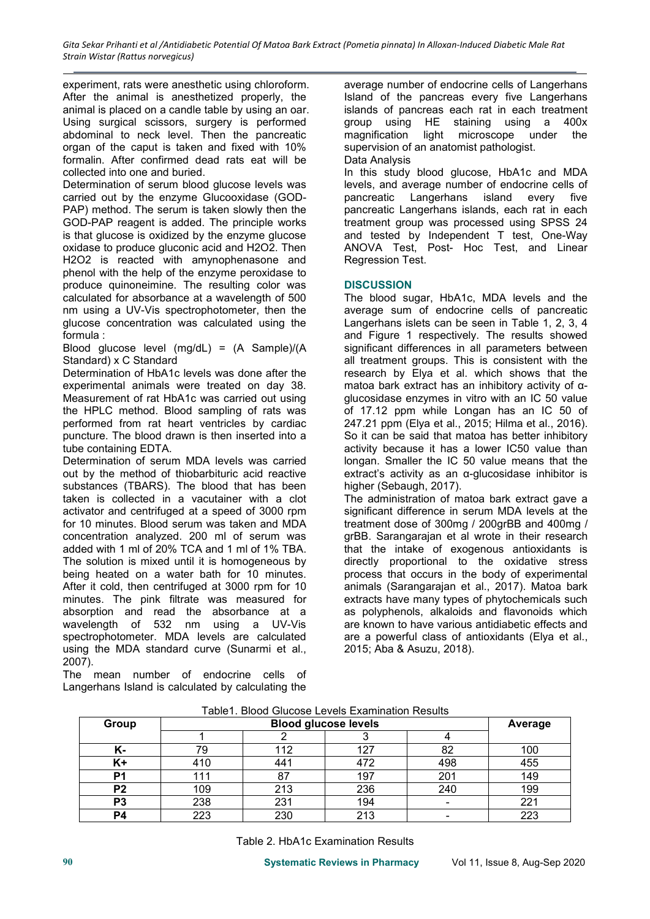experiment, rats were anesthetic using chloroform. After the animal is anesthetized properly, the animal is placed on a candle table by using an oar. Using surgical scissors, surgery is performed abdominal to neck level. Then the pancreatic organ of the caput is taken and fixed with 10% formalin. After confirmed dead rats eat will be collected into one and buried.

Determination of serum blood glucose levels was carried out by the enzyme Glucooxidase (GOD- PAP) method. The serum is taken slowly then the GOD-PAP reagent is added. The principle works is that glucose is oxidized by the enzyme glucose oxidase to produce gluconic acid and H2O2. Then H2O2 is reacted with amynophenasone and phenol with the help of the enzyme peroxidase to produce quinoneimine. The resulting color was calculated for absorbance at a wavelength of 500 nm using a UV-Vis spectrophotometer, then the glucose concentration was calculated using the formula :

Blood glucose level (mg/dL) = (A Sample)/(A Standard) x C Standard

Determination of HbA1c levels was done after the experimental animals were treated on day 38. Measurement of rat HbA1c was carried out using the HPLC method. Blood sampling of rats was performed from rat heart ventricles by cardiac puncture. The blood drawn is then inserted into a tube containing EDTA.

Determination of serum MDA levels was carried out by the method of thiobarbituric acid reactive substances (TBARS). The blood that has been taken is collected in a vacutainer with a clot activator and centrifuged at a speed of 3000 rpm for 10 minutes. Blood serum was taken and MDA concentration analyzed. 200 ml of serum was added with 1 ml of 20% TCA and 1 ml of 1% TBA. The solution is mixed until it is homogeneous by being heated on a water bath for 10 minutes. After it cold, then centrifuged at 3000 rpm for 10 minutes. The pink filtrate was measured for absorption and read the absorbance at a wavelength of 532 nm using a UV-Vis spectrophotometer. MDA levels are calculated using the MDA standard curve (Sunarmi et al., 2007).

The mean number of endocrine cells of Langerhans Island is calculated by calculating the

average number of endocrine cells of Langerhans Island of the pancreas every five Langerhans islands of pancreas each rat in each treatment staining using a 400x<br>microscope under the light microscope supervision of an anatomist pathologist. Data Analysis

In this study blood glucose, HbA1c and MDA levels, and average number of endocrine cells of Langerhans island every five pancreatic Langerhans islands, each rat in each treatment group was processed using SPSS 24 and tested by Independent T test, One-Way ANOVA Test, Post- Hoc Test, and Linear Regression Test.

#### **DISCUSSION**

The blood sugar, HbA1c, MDA levels and the average sum of endocrine cells of pancreatic Langerhans islets can be seen in Table 1, 2, 3, 4 and Figure 1 respectively. The results showed significant differences in all parameters between all treatment groups. This is consistent with the research by Elya et al. which shows that the matoa bark extract has an inhibitory activity of α glucosidase enzymes in vitro with an IC 50 value of 17.12 ppm while Longan has an IC 50 of 247.21 ppm (Elya et al., 2015; Hilma et al., 2016). So it can be said that matoa has better inhibitory activity because it has a lower IC50 value than longan. Smaller the IC 50 value means that the extract's activity as an α-glucosidase inhibitor is higher (Sebaugh, 2017).

The administration of matoa bark extract gave a significant difference in serum MDA levels at the treatment dose of 300mg / 200grBB and 400mg / grBB. Sarangarajan et al wrote in their research that the intake of exogenous antioxidants is directly proportional to the oxidative stress process that occurs in the body of experimental animals (Sarangarajan et al., 2017). Matoa bark extracts have many types of phytochemicals such as polyphenols, alkaloids and flavonoids which are known to have various antidiabetic effects and are a powerful class of antioxidants (Elya et al., 2015; Aba & Asuzu, 2018).

| Group          | <b>Blood glucose levels</b> |     |     |     | Average |  |  |
|----------------|-----------------------------|-----|-----|-----|---------|--|--|
|                |                             |     |     |     |         |  |  |
| n-             |                             | 112 | 127 | 82  | 100     |  |  |
| K+             | 410                         | 441 | 472 | 498 | 455     |  |  |
| P1             | 111                         | 87  | 197 | 201 | 149     |  |  |
| P <sub>2</sub> | 109                         | 213 | 236 | 240 | 199     |  |  |
| P <sub>3</sub> | 238                         | 231 | 194 |     | 221     |  |  |
| <b>P4</b>      | 223                         | 230 | 213 |     | 223     |  |  |

Table1. Blood Glucose Levels Examination Results

Table 2. HbA1c Examination Results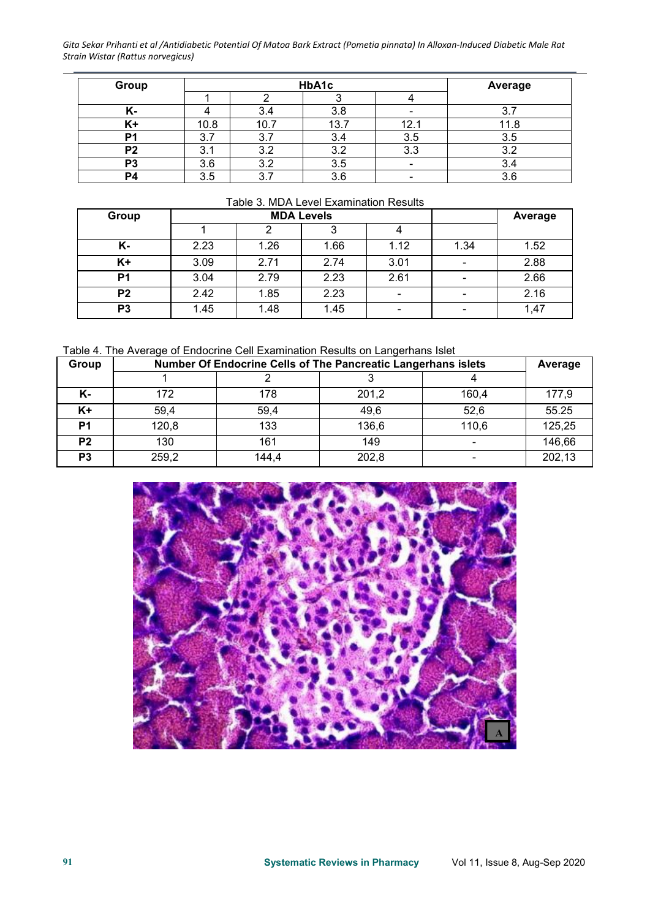| Group          | HbA1c                    |           |      |      | Average |  |
|----------------|--------------------------|-----------|------|------|---------|--|
|                |                          |           |      |      |         |  |
|                |                          |           | 3.8  |      |         |  |
| K+             | 10.8                     | 10.7      | 13.7 | 12.1 | 11.8    |  |
| D <sub>1</sub> | $\mathbf{\Omega}$<br>ບ.≀ | -2<br>ິ.  | 3.4  | 3.5  | 3.5     |  |
| P <sub>2</sub> | C<br>3.1                 | 3.2       | 3.2  | 3.3  |         |  |
| P <sub>3</sub> | 3.6                      | っっ<br>ے.ت | 3.5  |      | 3.4     |  |
| <b>P4</b>      | 3.5                      | ◠         | 3.6  |      | ა.ხ     |  |

#### Table 3. MDA Level Examination Results

| Group          | <b>MDA Levels</b> |      |        |                | Average                  |      |
|----------------|-------------------|------|--------|----------------|--------------------------|------|
|                |                   |      | ◠<br>د |                |                          |      |
| Κ-             | 2.23              | 1.26 | 1.66   | 1.12           | 1.34                     | 1.52 |
| K+             | 3.09              | 2.71 | 2.74   | 3.01           | $\overline{\phantom{a}}$ | 2.88 |
| <b>P1</b>      | 3.04              | 2.79 | 2.23   | 2.61           |                          | 2.66 |
| P <sub>2</sub> | 2.42              | 1.85 | 2.23   | $\sim$         | $\overline{\phantom{0}}$ | 2.16 |
| P <sub>3</sub> | 1.45              | 1.48 | 1.45   | $\blacksquare$ |                          | 1,47 |

Table 4. The Average of Endocrine Cell Examination Results on Langerhans Islet

| Group          |       | Number Of Endocrine Cells of The Pancreatic Langerhans islets | Average |       |        |
|----------------|-------|---------------------------------------------------------------|---------|-------|--------|
|                |       |                                                               |         |       |        |
| κ-             | 172   | 178                                                           | 201.2   | 160,4 | 177,9  |
| K+             | 59,4  | 59,4                                                          | 49,6    | 52,6  | 55.25  |
| P1             | 120,8 | 133                                                           | 136,6   | 110,6 | 125,25 |
| P <sub>2</sub> | 130   | 161                                                           | 149     |       | 146,66 |
| P3             | 259,2 | 144,4                                                         | 202,8   |       | 202,13 |



÷.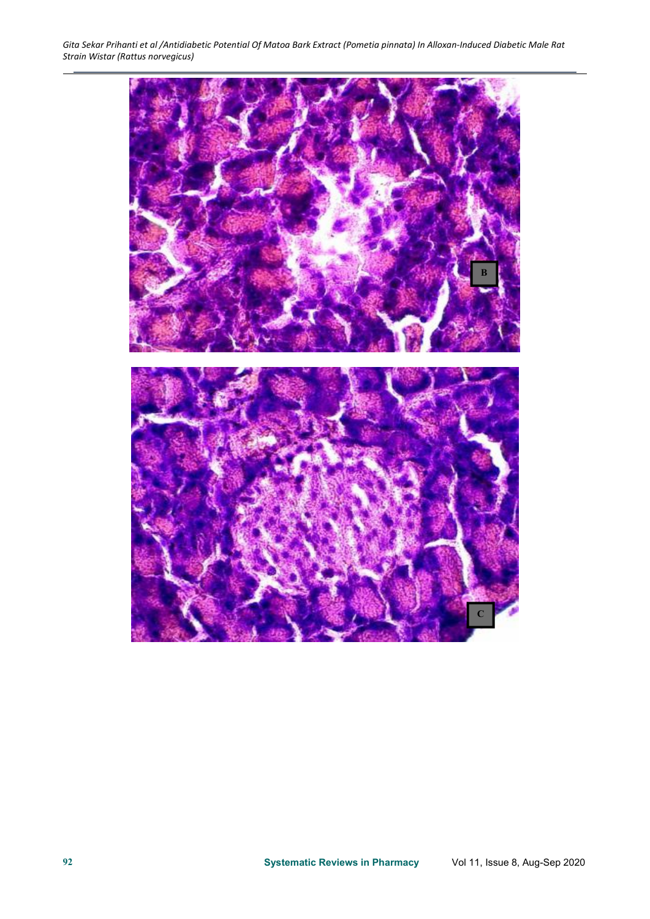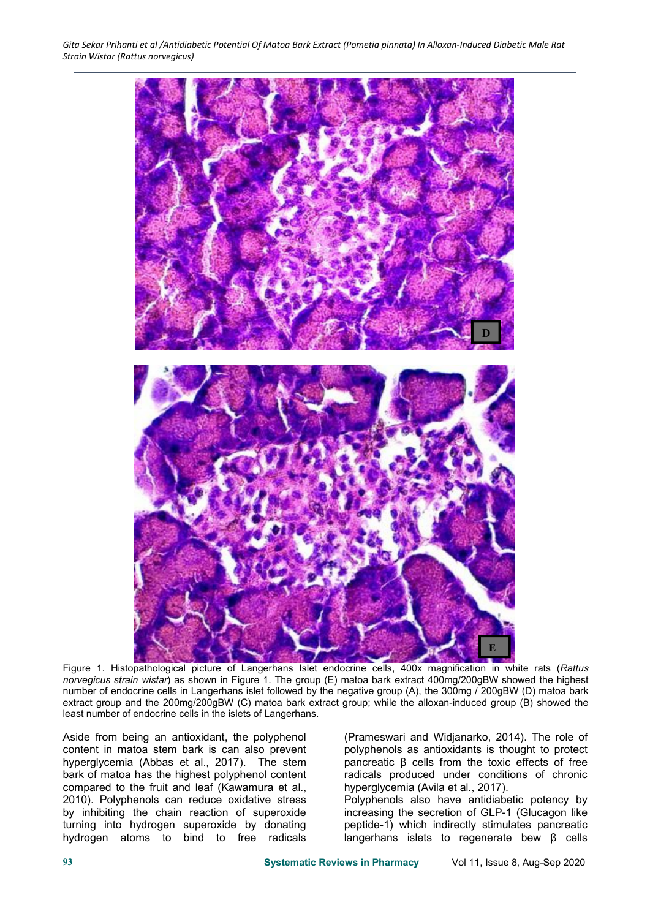

Figure 1. Histopathological picture of Langerhans Islet endocrine cells, 400x magnification in white rats (*Rattus norvegicus strain wistar*) as shown in Figure 1. The group (E) matoa bark extract 400mg/200gBW showed the highest number of endocrine cells in Langerhans islet followed by the negative group (A), the 300mg / 200gBW (D) matoa bark extract group and the 200mg/200gBW (C) matoa bark extract group; while the alloxan-induced group (B) showed the least number of endocrine cells in the islets of Langerhans.

Aside from being an antioxidant, the polyphenol content in matoa stem bark is can also prevent hyperglycemia (Abbas et al., 2017). The stem bark of matoa has the highest polyphenol content compared to the fruit and leaf (Kawamura et al., 2010). Polyphenols can reduce oxidative stress by inhibiting the chain reaction of superoxide turning into hydrogen superoxide by donating hydrogen atoms to bind to free radicals

(Prameswari and Widjanarko, 2014). The role of polyphenols as antioxidants is thought to protect pancreatic β cells from the toxic effects of free radicals produced under conditions of chronic hyperglycemia (Avila et al., 2017).

Polyphenols also have antidiabetic potency by increasing the secretion of GLP-1 (Glucagon like peptide-1) which indirectly stimulates pancreatic langerhans islets to regenerate bew β cells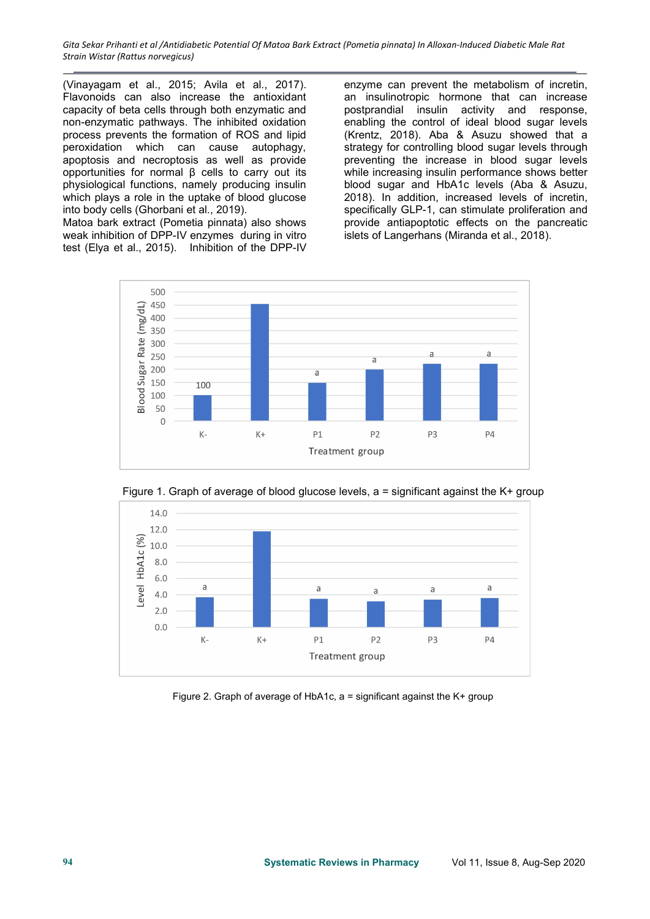(Vinayagam et al., 2015; Avila et al., 2017). Flavonoids can also increase the antioxidant capacity of beta cells through both enzymatic and non-enzymatic pathways. The inhibited oxidation process prevents the formation of ROS and lipid peroxidation which can cause autophagy, apoptosis and necroptosis as well as provide opportunities for normal β cells to carry out its physiological functions, namely producing insulin which plays a role in the uptake of blood glucose into body cells (Ghorbani et al., 2019).

Matoa bark extract (Pometia pinnata) also shows weak inhibition of DPP-IV enzymes during in vitro test (Elya et al., 2015). Inhibition of the DPP-IV

enzyme can prevent the metabolism of incretin, an insulinotropic hormone that can increase postprandial insulin activity and response, enabling the control of ideal blood sugar levels (Krentz, 2018). Aba & Asuzu showed that a strategy for controlling blood sugar levels through preventing the increase in blood sugar levels while increasing insulin performance shows better blood sugar and HbA1c levels (Aba & Asuzu, 2018). In addition, increased levels of incretin, specifically GLP-1, can stimulate proliferation and provide antiapoptotic effects on the pancreatic islets of Langerhans (Miranda et al., 2018).







Figure 2. Graph of average of HbA1c, a = significant against the K+ group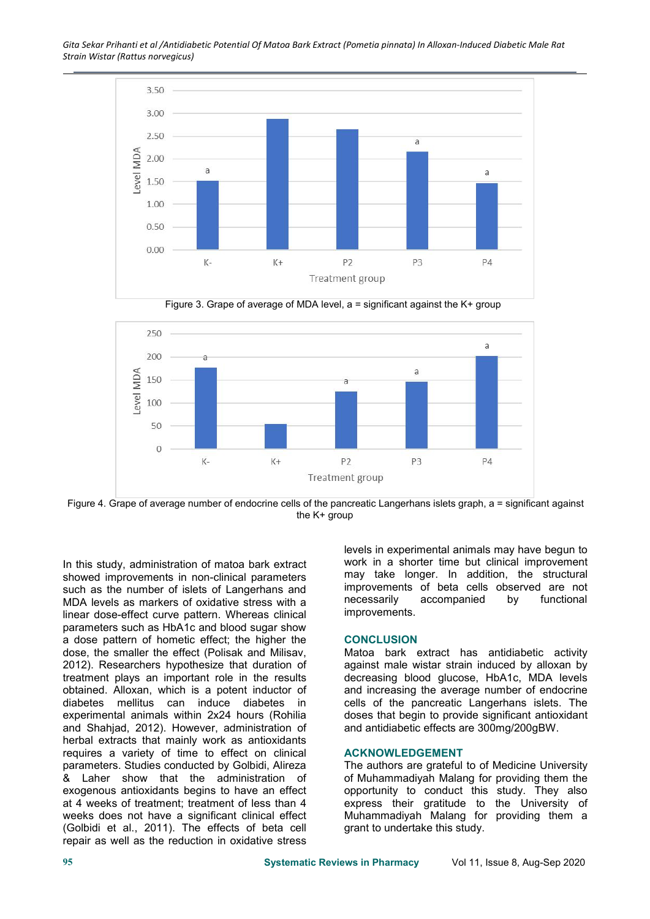

Figure 3. Grape of average of MDA level,  $a =$  significant against the K+ group



Figure 4. Grape of average number of endocrine cells of the pancreatic Langerhans islets graph, a = significant against the K+ group

In this study, administration of matoa bark extract showed improvements in non-clinical parameters such as the number of islets of Langerhans and improvement in the set of cylidative stress with a struck as markers of oxidative stress with a stress arily MDA levels as markers of oxidative stress with a linear dose-effect curve pattern. Whereas clinical parameters such as HbA1c and blood sugar show a dose pattern of hometic effect; the higher the dose, the smaller the effect (Polisak and Milisav, 2012). Researchers hypothesize that duration of treatment plays an important role in the results obtained. Alloxan, which is a potent inductor of diabetes mellitus can induce diabetes in experimental animals within 2x24 hours (Rohilia and Shahjad, 2012). However, administration of herbal extracts that mainly work as antioxidants requires a variety of time to effect on clinical parameters. Studies conducted by Golbidi, Alireza & Laher show that the administration of exogenous antioxidants begins to have an effect at 4 weeks of treatment; treatment of less than 4 weeks does not have a significant clinical effect (Golbidi et al., 2011). The effects of beta cell repair as well as the reduction in oxidative stress

levels in experimental animals may have begun to work in a shorter time but clinical improvement may take longer. In addition, the structural improvements of beta cells observed are not accompanied by functional improvements.

#### **CONCLUSION**

Matoa bark extract has antidiabetic activity against male wistar strain induced by alloxan by decreasing blood glucose, HbA1c, MDA levels and increasing the average number of endocrine cells of the pancreatic Langerhans islets. The doses that begin to provide significant antioxidant and antidiabetic effects are 300mg/200gBW.

#### **ACKNOWLEDGEMENT**

The authors are grateful to of Medicine University of Muhammadiyah Malang for providing them the opportunity to conduct this study. They also express their gratitude to the University of Muhammadiyah Malang for providing them a grant to undertake this study.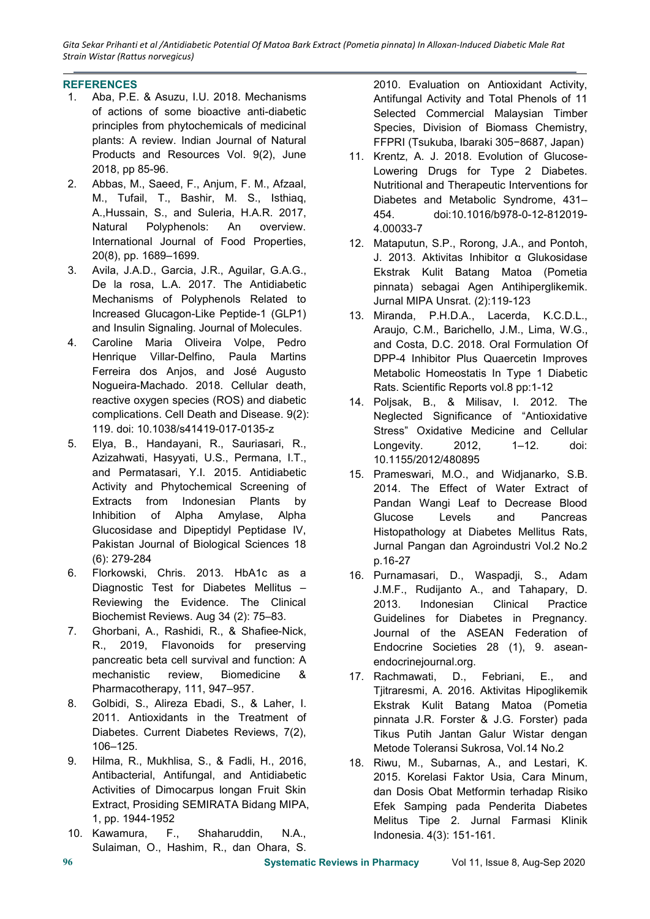### **REFERENCES**

- 1. Aba, P.E. & Asuzu, I.U. 2018. Mechanisms of actions of some bioactive anti-diabetic principles from phytochemicals of medicinal plants: A review. Indian Journal of Natural Products and Resources Vol. 9(2), June 2018, pp 85-96.
- 2. Abbas, M., Saeed, F., Anjum, F. M., Afzaal, M., Tufail, T., Bashir, M. S., Isthiaq, A.,Hussain, S., and Suleria, H.A.R. 2017, Natural Polyphenols: An overview. International Journal of Food Properties, 20(8), pp. 1689–1699.
- 3. Avila, J.A.D., Garcia, J.R., Aguilar, G.A.G., De la rosa, L.A. 2017. The Antidiabetic Mechanisms of Polyphenols Related to Increased Glucagon-Like Peptide-1 (GLP1) and Insulin Signaling. Journal of Molecules.
- 4. Caroline Maria Oliveira Volpe, Pedro Henrique Villar-Delfino, Paula Martins Ferreira dos Anjos, and José Augusto Nogueira-Machado. 2018. Cellular death, reactive oxygen species (ROS) and diabetic complications. Cell Death and Disease. 9(2): 119. doi: 10.1038/s41419-017-0135-z
- 5. Elya, B., Handayani, R., Sauriasari, R., Azizahwati, Hasyyati, U.S., Permana, I.T., and Permatasari, Y.I. 2015. Antidiabetic Activity and Phytochemical Screening of Extracts from Indonesian Plants by Inhibition of Alpha Amylase, Alpha Glucosidase and Dipeptidyl Peptidase IV, Pakistan Journal of Biological Sciences 18 (6): 279-284
- 6. Florkowski, Chris. 2013. HbA1c as a Diagnostic Test for Diabetes Mellitus – Reviewing the Evidence. The Clinical Biochemist Reviews. Aug 34 (2): 75–83.
- 7. Ghorbani, A., Rashidi, R., & Shafiee-Nick, R., 2019, Flavonoids for preserving pancreatic beta cell survival and function: A Pharmacotherapy, 111, 947–957.
- 8. Golbidi, S., Alireza Ebadi, S., & Laher, I. 2011. Antioxidants in the Treatment of Diabetes. Current Diabetes Reviews, 7(2), 106–125.
- 9. Hilma, R., Mukhlisa, S., & Fadli, H., 2016, Antibacterial, Antifungal, and Antidiabetic Activities of Dimocarpus longan Fruit Skin Extract, Prosiding SEMIRATA Bidang MIPA, 1, pp. 1944-1952
- 10. Kawamura, F., Shaharuddin, N.A., Sulaiman, O., Hashim, R., dan Ohara, S.

2010. Evaluation on Antioxidant Activity, Antifungal Activity and Total Phenols of 11 Selected Commercial Malaysian Timber Species, Division of Biomass Chemistry, FFPRI (Tsukuba, Ibaraki 305−8687, Japan)

- 11. Krentz, A. J. 2018. Evolution of Glucose- Lowering Drugs for Type 2 Diabetes. Nutritional and Therapeutic Interventions for Diabetes and Metabolic Syndrome, 431– 454. doi:10.1016/b978-0-12-812019- 4.00033-7
- 12. Mataputun, S.P., Rorong, J.A., and Pontoh, J. 2013. Aktivitas Inhibitor α Glukosidase Ekstrak Kulit Batang Matoa (Pometia pinnata) sebagai Agen Antihiperglikemik. Jurnal MIPA Unsrat. (2):119-123
- 13. Miranda, P.H.D.A., Lacerda, K.C.D.L., Araujo, C.M., Barichello, J.M., Lima, W.G., and Costa, D.C. 2018. Oral Formulation Of DPP-4 Inhibitor Plus Quaercetin Improves Metabolic Homeostatis In Type 1 Diabetic Rats. Scientific Reports vol.8 pp:1-12
- 14. Poljsak, B., & Milisav, I. 2012. The Neglected Significance of "Antioxidative Stress" Oxidative Medicine and Cellular Longevity. 2012, 1–12. doi: 10.1155/2012/480895
- 15. Prameswari, M.O., and Widjanarko, S.B. 2014. The Effect of Water Extract of Pandan Wangi Leaf to Decrease Blood Levels and Pancreas Histopathology at Diabetes Mellitus Rats, Jurnal Pangan dan Agroindustri Vol.2 No.2 p.16-27
- 16. Purnamasari, D., Waspadji, S., Adam J.M.F., Rudijanto A., and Tahapary, D. Indonesian Clinical Practice Guidelines for Diabetes in Pregnancy. Journal of the ASEAN Federation of Endocrine Societies 28 (1), 9. asean endocrinejournal.org.
- mechanistic review, Biomedicine & 17. Rachmawati, D., Febriani, E., and Tjitraresmi, A. 2016. Aktivitas Hipoglikemik Ekstrak Kulit Batang Matoa (Pometia pinnata J.R. Forster & J.G. Forster) pada Tikus Putih Jantan Galur Wistar dengan Metode Toleransi Sukrosa, Vol.14 No.2
	- 18. Riwu, M., Subarnas, A., and Lestari, K. 2015. Korelasi Faktor Usia, Cara Minum, dan Dosis Obat Metformin terhadap Risiko Efek Samping pada Penderita Diabetes Melitus Tipe 2. Jurnal Farmasi Klinik Indonesia. 4(3): 151-161.